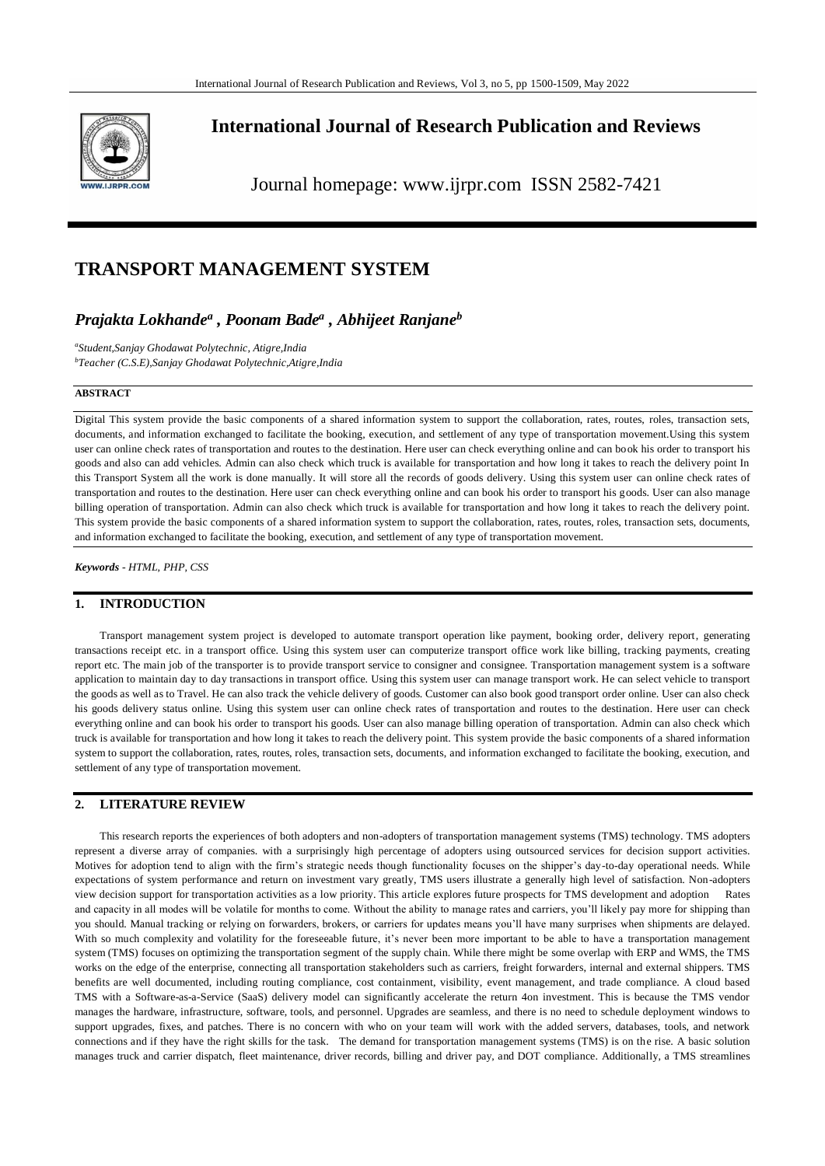

# **International Journal of Research Publication and Reviews**

Journal homepage: www.ijrpr.com ISSN 2582-7421

# **TRANSPORT MANAGEMENT SYSTEM**

# *Prajakta Lokhande<sup>a</sup> , Poonam Bade<sup>a</sup> , Abhijeet Ranjane<sup>b</sup>*

*a Student,Sanjay Ghodawat Polytechnic, Atigre,India <sup>b</sup>Teacher (C.S.E),Sanjay Ghodawat Polytechnic,Atigre,India*

### **ABSTRACT**

Digital This system provide the basic components of a shared information system to support the collaboration, rates, routes, roles, transaction sets, documents, and information exchanged to facilitate the booking, execution, and settlement of any type of transportation movement.Using this system user can online check rates of transportation and routes to the destination. Here user can check everything online and can book his order to transport his goods and also can add vehicles. Admin can also check which truck is available for transportation and how long it takes to reach the delivery point In this Transport System all the work is done manually. It will store all the records of goods delivery. Using this system user can online check rates of transportation and routes to the destination. Here user can check everything online and can book his order to transport his goods. User can also manage billing operation of transportation. Admin can also check which truck is available for transportation and how long it takes to reach the delivery point. This system provide the basic components of a shared information system to support the collaboration, rates, routes, roles, transaction sets, documents, and information exchanged to facilitate the booking, execution, and settlement of any type of transportation movement.

*Keywords - HTML, PHP, CSS*

## **1. INTRODUCTION**

Transport management system project is developed to automate transport operation like payment, booking order, delivery report, generating transactions receipt etc. in a transport office. Using this system user can computerize transport office work like billing, tracking payments, creating report etc. The main job of the transporter is to provide transport service to consigner and consignee. Transportation management system is a software application to maintain day to day transactions in transport office. Using this system user can manage transport work. He can select vehicle to transport the goods as well as to Travel. He can also track the vehicle delivery of goods. Customer can also book good transport order online. User can also check his goods delivery status online. Using this system user can online check rates of transportation and routes to the destination. Here user can check everything online and can book his order to transport his goods. User can also manage billing operation of transportation. Admin can also check which truck is available for transportation and how long it takes to reach the delivery point. This system provide the basic components of a shared information system to support the collaboration, rates, routes, roles, transaction sets, documents, and information exchanged to facilitate the booking, execution, and settlement of any type of transportation movement.

## **2. LITERATURE REVIEW**

This research reports the experiences of both adopters and non-adopters of transportation management systems (TMS) technology. TMS adopters represent a diverse array of companies. with a surprisingly high percentage of adopters using outsourced services for decision support activities. Motives for adoption tend to align with the firm's strategic needs though functionality focuses on the shipper's day-to-day operational needs. While expectations of system performance and return on investment vary greatly, TMS users illustrate a generally high level of satisfaction. Non-adopters view decision support for transportation activities as a low priority. This article explores future prospects for TMS development and adoption Rates and capacity in all modes will be volatile for months to come. Without the ability to manage rates and carriers, you'll likely pay more for shipping than you should. Manual tracking or relying on forwarders, brokers, or carriers for updates means you'll have many surprises when shipments are delayed. With so much complexity and volatility for the foreseeable future, it's never been more important to be able to have a transportation management system (TMS) focuses on optimizing the transportation segment of the supply chain. While there might be some overlap with ERP and WMS, the TMS works on the edge of the enterprise, connecting all transportation stakeholders such as carriers, freight forwarders, internal and external shippers. TMS benefits are well documented, including routing compliance, cost containment, visibility, event management, and trade compliance. A cloud based TMS with a Software-as-a-Service (SaaS) delivery model can significantly accelerate the return 4on investment. This is because the TMS vendor manages the hardware, infrastructure, software, tools, and personnel. Upgrades are seamless, and there is no need to schedule deployment windows to support upgrades, fixes, and patches. There is no concern with who on your team will work with the added servers, databases, tools, and network connections and if they have the right skills for the task. The demand for transportation management systems (TMS) is on the rise. A basic solution manages truck and carrier dispatch, fleet maintenance, driver records, billing and driver pay, and DOT compliance. Additionally, a TMS streamlines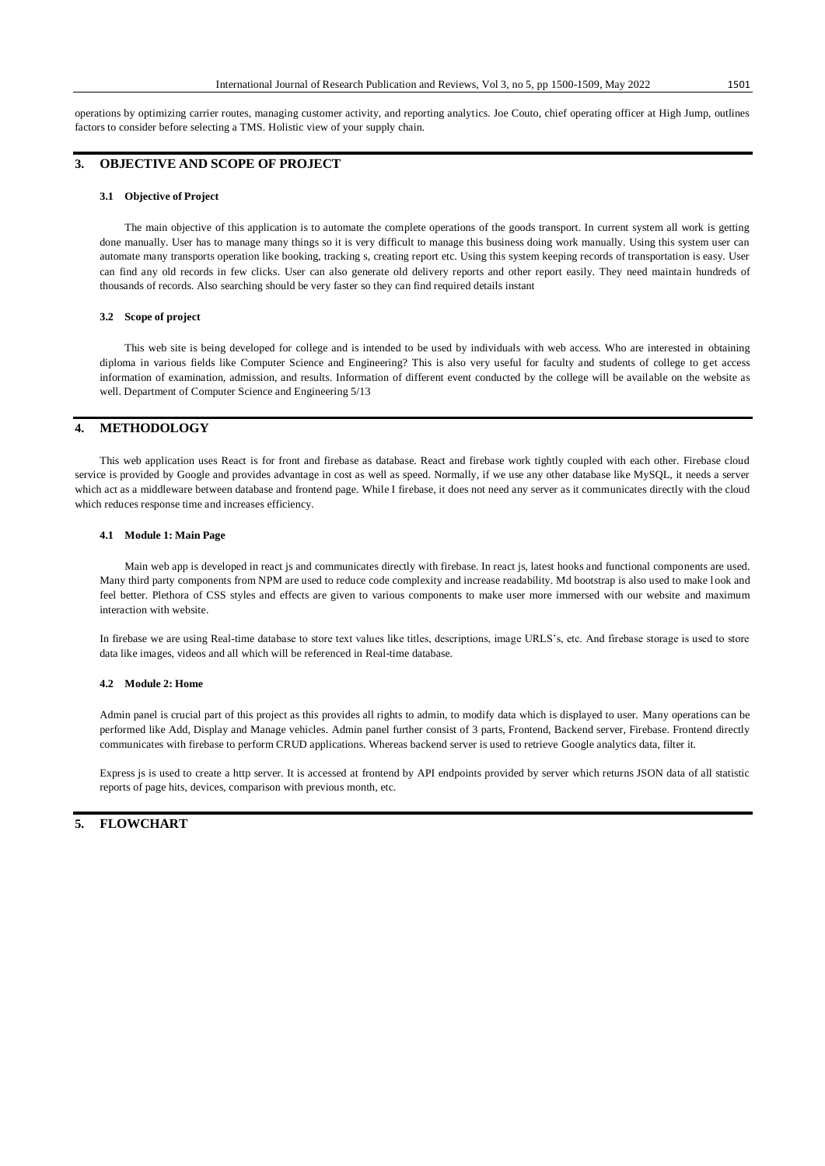operations by optimizing carrier routes, managing customer activity, and reporting analytics. Joe Couto, chief operating officer at High Jump, outlines factors to consider before selecting a TMS. Holistic view of your supply chain.

### **3. OBJECTIVE AND SCOPE OF PROJECT**

#### **3.1 Objective of Project**

The main objective of this application is to automate the complete operations of the goods transport. In current system all work is getting done manually. User has to manage many things so it is very difficult to manage this business doing work manually. Using this system user can automate many transports operation like booking, tracking s, creating report etc. Using this system keeping records of transportation is easy. User can find any old records in few clicks. User can also generate old delivery reports and other report easily. They need maintain hundreds of thousands of records. Also searching should be very faster so they can find required details instant

#### **3.2 Scope of project**

This web site is being developed for college and is intended to be used by individuals with web access. Who are interested in obtaining diploma in various fields like Computer Science and Engineering? This is also very useful for faculty and students of college to get access information of examination, admission, and results. Information of different event conducted by the college will be available on the website as well. Department of Computer Science and Engineering 5/13

#### **4. METHODOLOGY**

This web application uses React is for front and firebase as database. React and firebase work tightly coupled with each other. Firebase cloud service is provided by Google and provides advantage in cost as well as speed. Normally, if we use any other database like MySQL, it needs a server which act as a middleware between database and frontend page. While I firebase, it does not need any server as it communicates directly with the cloud which reduces response time and increases efficiency.

#### **4.1 Module 1: Main Page**

Main web app is developed in react js and communicates directly with firebase. In react js, latest hooks and functional components are used. Many third party components from NPM are used to reduce code complexity and increase readability. Md bootstrap is also used to make look and feel better. Plethora of CSS styles and effects are given to various components to make user more immersed with our website and maximum interaction with website.

In firebase we are using Real-time database to store text values like titles, descriptions, image URLS's, etc. And firebase storage is used to store data like images, videos and all which will be referenced in Real-time database.

#### **4.2 Module 2: Home**

Admin panel is crucial part of this project as this provides all rights to admin, to modify data which is displayed to user. Many operations can be performed like Add, Display and Manage vehicles. Admin panel further consist of 3 parts, Frontend, Backend server, Firebase. Frontend directly communicates with firebase to perform CRUD applications. Whereas backend server is used to retrieve Google analytics data, filter it.

Express js is used to create a http server. It is accessed at frontend by API endpoints provided by server which returns JSON data of all statistic reports of page hits, devices, comparison with previous month, etc.

### **5. FLOWCHART**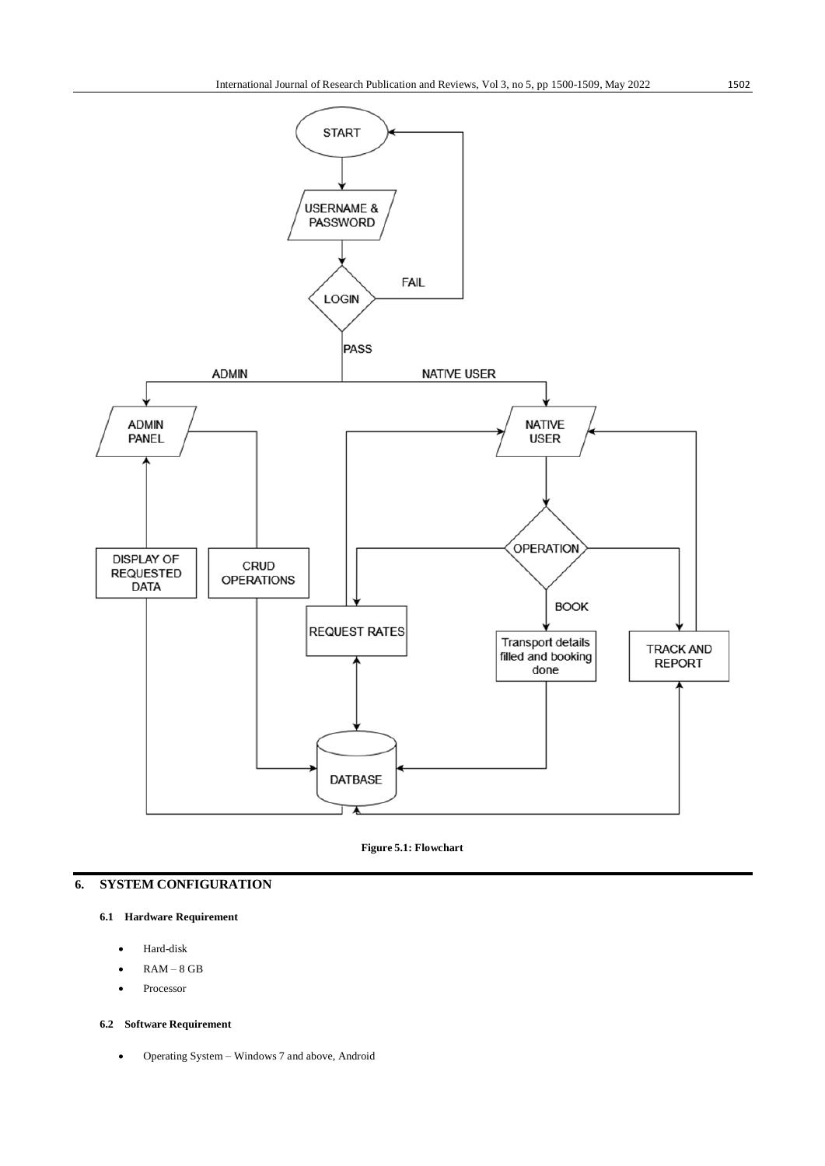

**Figure 5.1: Flowchart**

## **6. SYSTEM CONFIGURATION**

### **6.1 Hardware Requirement**

- Hard-disk
- RAM 8 GB
- Processor

### **6.2 Software Requirement**

Operating System – Windows 7 and above, Android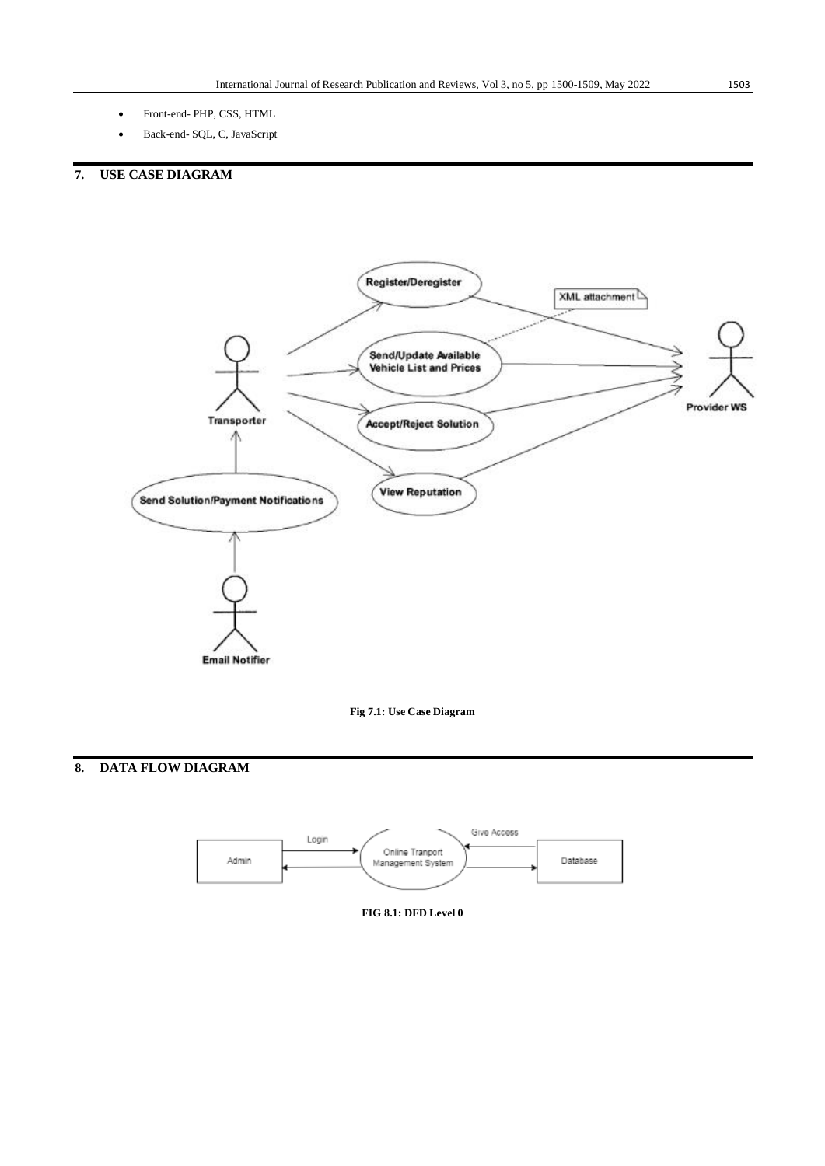- Front-end- PHP, CSS, HTML
- Back-end- SQL, C, JavaScript

# **7. USE CASE DIAGRAM**





# **8. DATA FLOW DIAGRAM**



**FIG 8.1: DFD Level 0**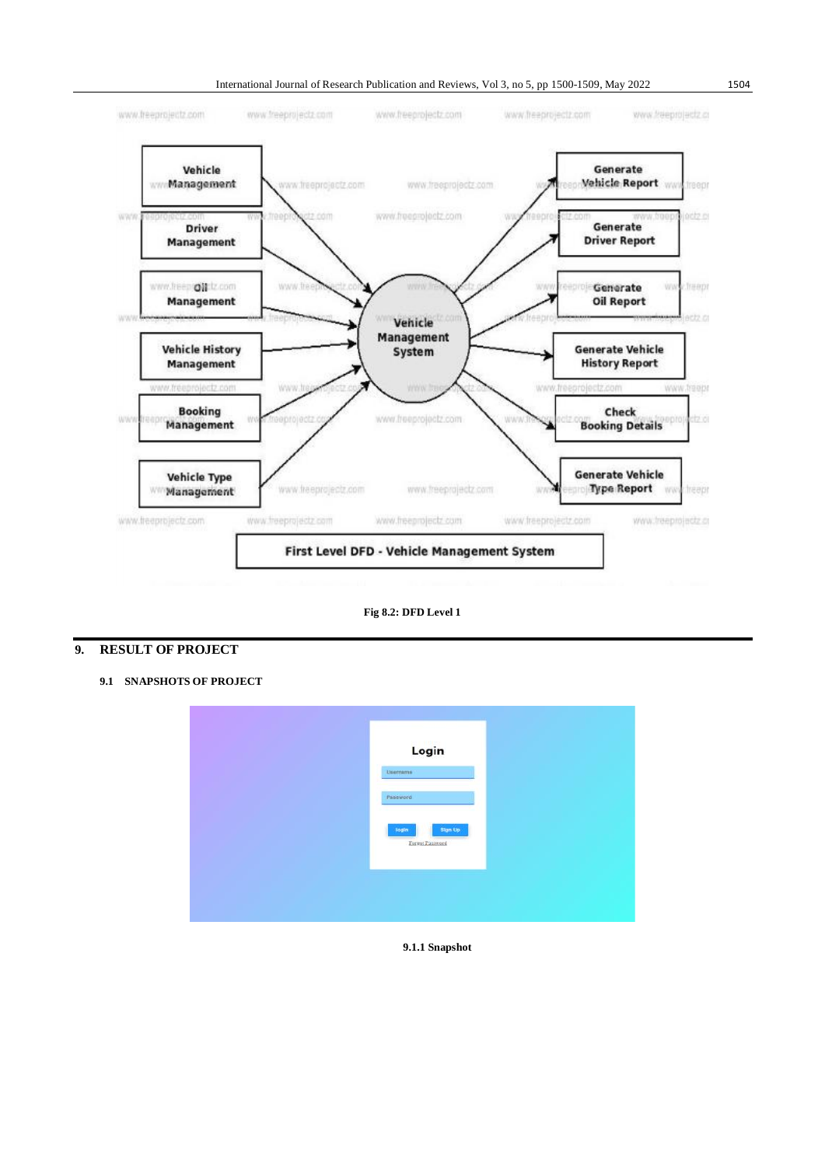

**Fig 8.2: DFD Level 1**

## **9. RESULT OF PROJECT**

**9.1 SNAPSHOTS OF PROJECT**

| Login<br>Username <sup>-</sup>      |  |
|-------------------------------------|--|
| Password                            |  |
| Sign Up<br>login<br>Earnot Password |  |
|                                     |  |
|                                     |  |

**9.1.1 Snapshot**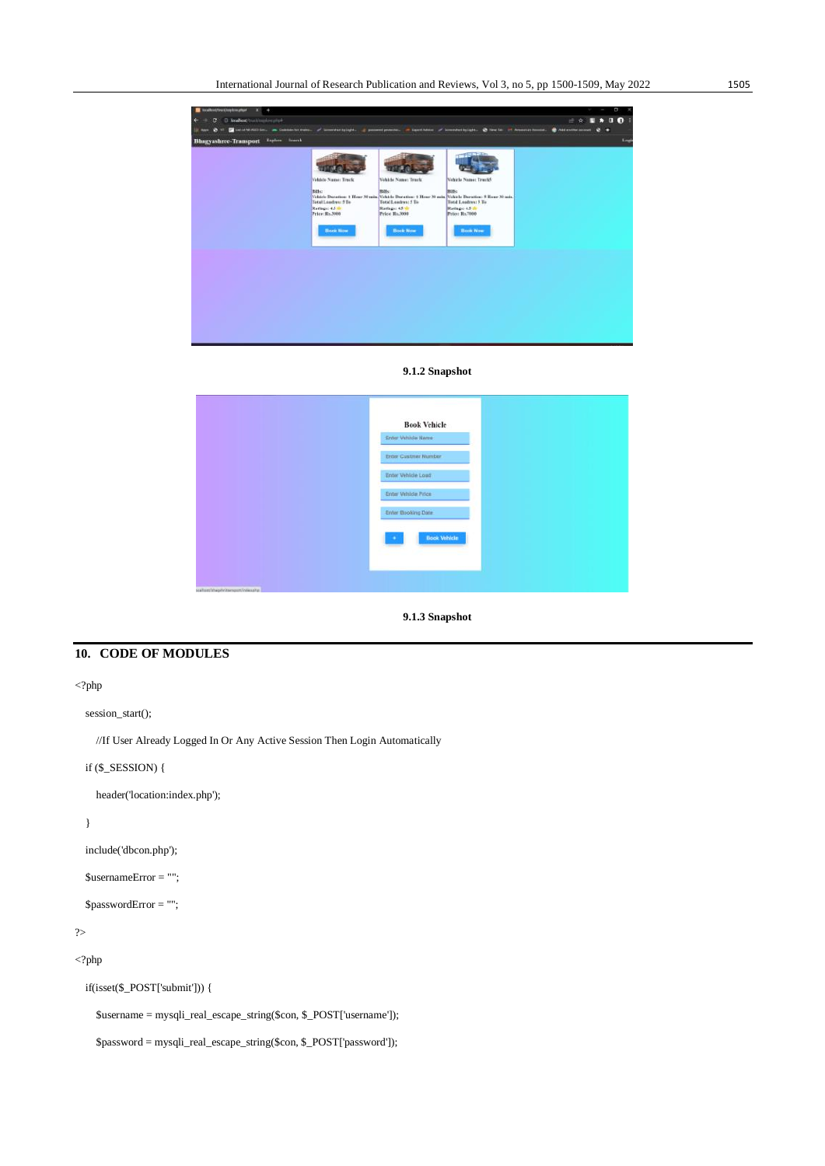| <b>B</b> Association of the continent of<br>٠  |                                          |                                                                                                                            |                                  | о                                                                                                                                           |
|------------------------------------------------|------------------------------------------|----------------------------------------------------------------------------------------------------------------------------|----------------------------------|---------------------------------------------------------------------------------------------------------------------------------------------|
| @ localisat/training/creature<br>÷<br>c        |                                          |                                                                                                                            |                                  | 00:<br>手令<br>п                                                                                                                              |
| <b>CA 12</b><br><b>II</b> Appy                 |                                          |                                                                                                                            |                                  | Distriction, a Cabbinity Ave., of Constitutions, a powerformers, a constitution of Constantinople, @ North of Assessmentary @ Addresses @ @ |
| Explore Search<br><b>Bhagyashree-Transport</b> |                                          |                                                                                                                            |                                  | Logis                                                                                                                                       |
|                                                |                                          |                                                                                                                            |                                  |                                                                                                                                             |
|                                                |                                          |                                                                                                                            |                                  |                                                                                                                                             |
|                                                |                                          |                                                                                                                            |                                  |                                                                                                                                             |
|                                                | Vehicle Name: Truck                      | Vehicle Name: Truck                                                                                                        | <b>Nidirle Name: TrunkS</b>      |                                                                                                                                             |
|                                                | Billio                                   | <b>Riffs</b> !                                                                                                             | Billis:                          |                                                                                                                                             |
|                                                | <b>Total Landres: 5 To</b>               | Vehicle Duration: 1 Hear 30 min. Vehicle Duration: 1 Hear 30 min. Vehicle Duration: 9 Hear 30 min.<br>Total Loadives: 5 To | <b>Total Leadman 5 To</b>        |                                                                                                                                             |
|                                                | Ratings: 4.5 th<br><b>Price: Ro.3008</b> | Ratinge: 4.5 th<br>Price: Ro.3008                                                                                          | Ratingo 4.5 th<br>Price: Rs.7000 |                                                                                                                                             |
|                                                |                                          |                                                                                                                            |                                  |                                                                                                                                             |
|                                                | <b>Book Now</b>                          | <b>Book Now:</b>                                                                                                           | <b>Beek Now</b>                  |                                                                                                                                             |
|                                                |                                          |                                                                                                                            |                                  |                                                                                                                                             |
|                                                |                                          |                                                                                                                            |                                  |                                                                                                                                             |
|                                                |                                          |                                                                                                                            |                                  |                                                                                                                                             |
|                                                |                                          |                                                                                                                            |                                  |                                                                                                                                             |
|                                                |                                          |                                                                                                                            |                                  |                                                                                                                                             |
|                                                |                                          |                                                                                                                            |                                  |                                                                                                                                             |
|                                                |                                          |                                                                                                                            |                                  |                                                                                                                                             |
|                                                |                                          |                                                                                                                            |                                  |                                                                                                                                             |
|                                                |                                          |                                                                                                                            |                                  |                                                                                                                                             |
|                                                |                                          |                                                                                                                            |                                  |                                                                                                                                             |
|                                                |                                          |                                                                                                                            |                                  |                                                                                                                                             |

**9.1.2 Snapshot**

|                             | <b>Book Vehicle</b>  |  |
|-----------------------------|----------------------|--|
|                             | Enter Vehicle Name:  |  |
|                             | Enter Custmer Number |  |
|                             | Enter Vehicle Load   |  |
|                             | Enter Vehicle Price  |  |
|                             | Enter Booking Date   |  |
|                             | <b>Book Vehicle</b>  |  |
|                             | ×                    |  |
|                             |                      |  |
| anaximummentivegent teacher |                      |  |

**9.1.3 Snapshot**

## **10. CODE OF MODULES**

### $\mathord{<} ?\text{php}$

session\_start();

//If User Already Logged In Or Any Active Session Then Login Automatically

## if (\$\_SESSION) {

header('location:index.php');

### }

```
 include('dbcon.php');
```

```
 $usernameError = "";
```

```
 $passwordError = "";
```
### ?>

```
<?php
```
if(isset(\$\_POST['submit'])) {

\$username = mysqli\_real\_escape\_string(\$con, \$\_POST['username']);

\$password = mysqli\_real\_escape\_string(\$con, \$\_POST['password']);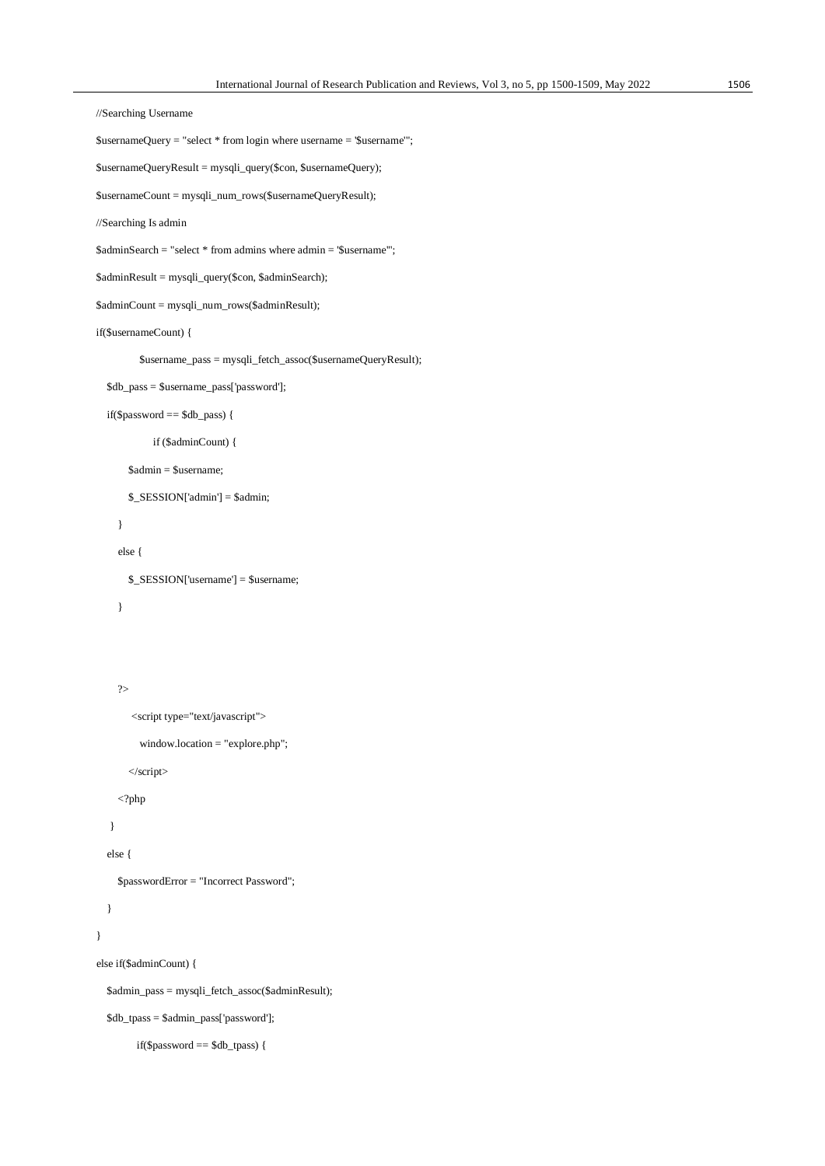```
 //Searching Username
 $usernameQuery = "select * from login where username = '$username'";
 $usernameQueryResult = mysqli_query($con, $usernameQuery);
 $usernameCount = mysqli_num_rows($usernameQueryResult);
 //Searching Is admin
 $adminSearch = "select * from admins where admin = '$username'";
 $adminResult = mysqli_query($con, $adminSearch);
 $adminCount = mysqli_num_rows($adminResult);
 if($usernameCount) {
          $username_pass = mysqli_fetch_assoc($usernameQueryResult);
   $db_pass = $username_pass['password']; 
   if($password == $db_pass) {
             if ($adminCount) {
        $admin = $username;
        $_SESSION['admin'] = $admin;
     }
     else {
        $_SESSION['username'] = $username;
     }
     ?>
        <script type="text/javascript">
          window.location = "explore.php";
        </script>
     <?php
    }
   else {
     $passwordError = "Incorrect Password";
   }
 }
 else if($adminCount) {
   $admin_pass = mysqli_fetch_assoc($adminResult);
   $db_tpass = $admin_pass['password'];
         if($password == $db_tpass) {
```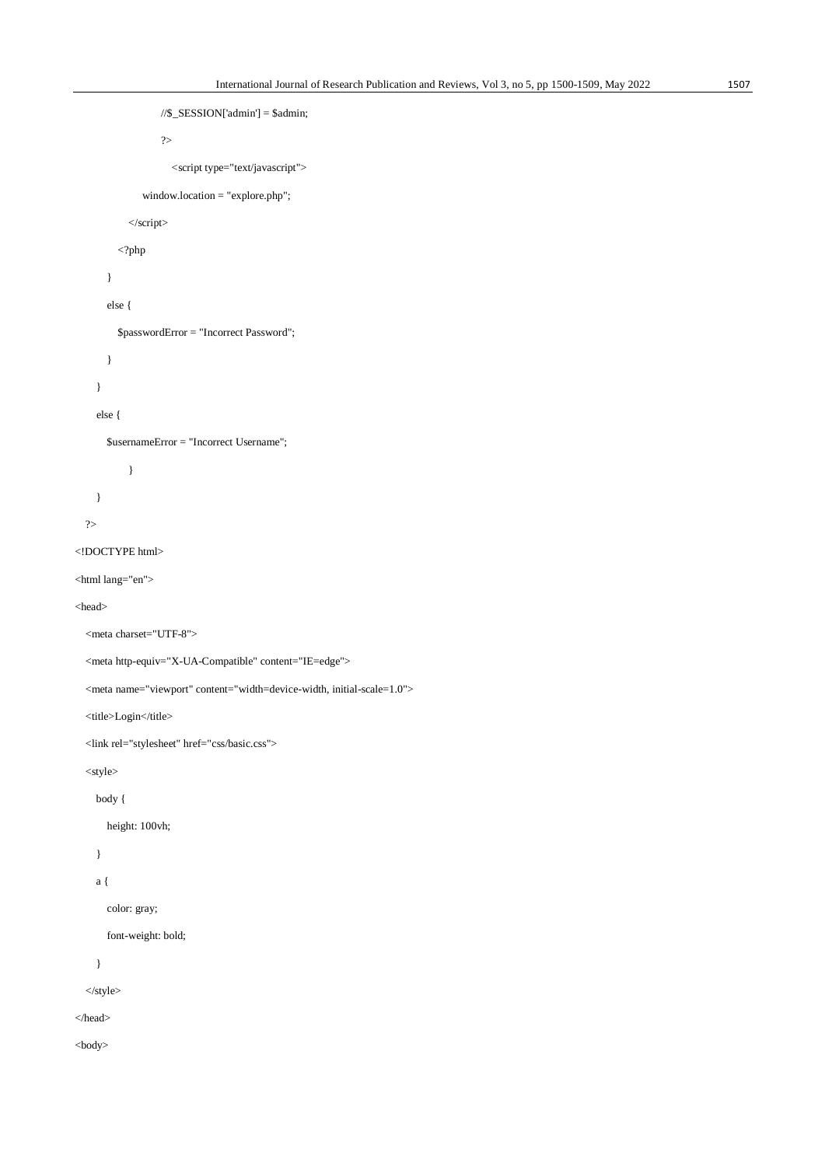```
//$_SESSION['admin'] = $admin;
                    ?>
                      <script type="text/javascript">
               window.location = "explore.php";
            </script>
         \langle?php
        }
       else {
          $passwordError = "Incorrect Password";
        }
     }
     else {
       $usernameError = "Incorrect Username";
            }
     }
   ?>
<!DOCTYPE html>
<html lang="en">
<head>
   <meta charset="UTF-8">
   <meta http-equiv="X-UA-Compatible" content="IE=edge">
   <meta name="viewport" content="width=device-width, initial-scale=1.0">
  <title>Login</title>
   <link rel="stylesheet" href="css/basic.css">
   <style>
     body {
       height: 100vh;
     }
     a {
       color: gray;
       font-weight: bold;
     }
   </style>
</head>
<body>
```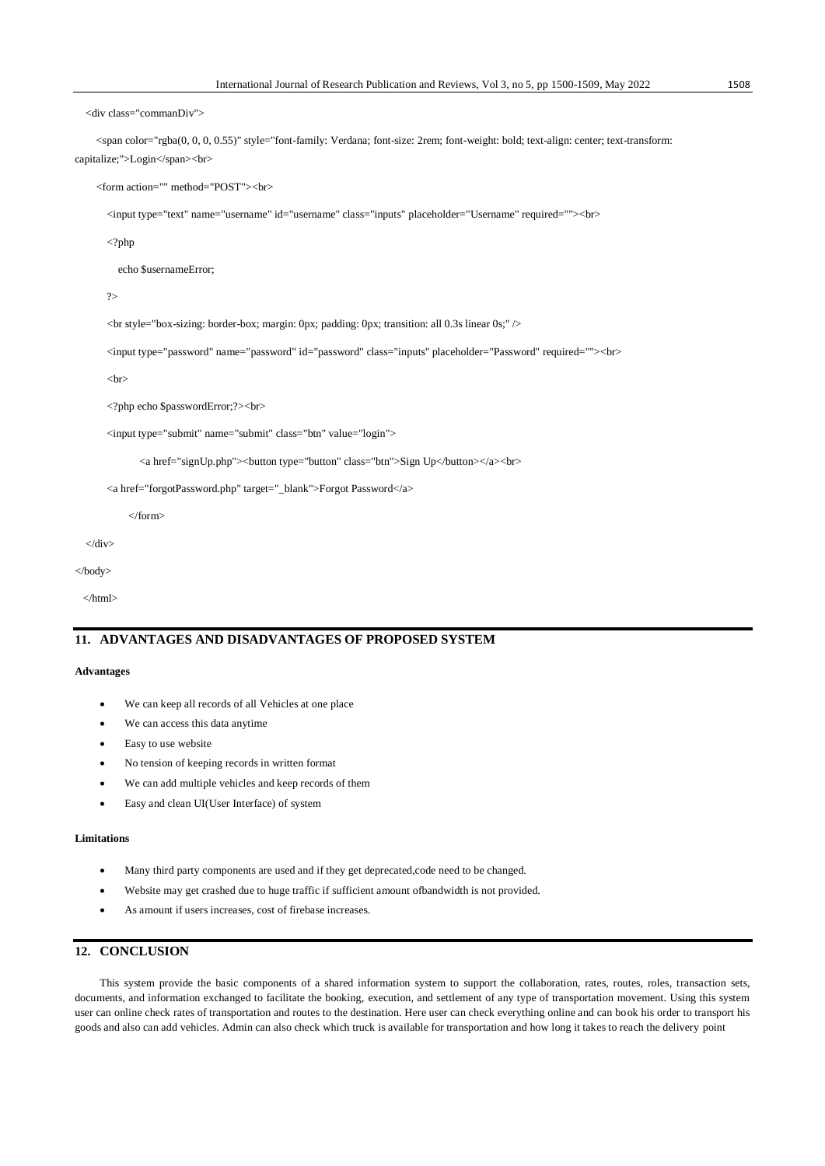<div class="commanDiv">

 <span color="rgba(0, 0, 0, 0.55)" style="font-family: Verdana; font-size: 2rem; font-weight: bold; text-align: center; text-transform: capitalize;">Login</span><br/><br>>
chr>

<form action="" method="POST"><br>

<input type="text" name="username" id="username" class="inputs" placeholder="Username" required=""><br>

<?php

echo \$usernameError;

 $\gamma$ 

<br style="box-sizing: border-box; margin: 0px; padding: 0px; transition: all 0.3s linear 0s;" />

<input type="password" name="password" id="password" class="inputs" placeholder="Password" required=""><br>

 $chr$ 

<?php echo \$passwordError;?><br>

<input type="submit" name="submit" class="btn" value="login">

<a href="signUp.php"><br/>>button type="button" class="btn">Sign Up</button></a>><br/>br>

<a href="forgotPassword.php" target="\_blank">Forgot Password</a>

</form>

```
\langlediv>
```

```
</body>
```
</html>

### **11. ADVANTAGES AND DISADVANTAGES OF PROPOSED SYSTEM**

#### **Advantages**

- We can keep all records of all Vehicles at one place
- We can access this data anytime
- Easy to use website
- No tension of keeping records in written format
- We can add multiple vehicles and keep records of them
- Easy and clean UI(User Interface) of system

#### **Limitations**

- Many third party components are used and if they get deprecated,code need to be changed.
- Website may get crashed due to huge traffic if sufficient amount ofbandwidth is not provided.
- As amount if users increases, cost of firebase increases.

## **12. CONCLUSION**

This system provide the basic components of a shared information system to support the collaboration, rates, routes, roles, transaction sets, documents, and information exchanged to facilitate the booking, execution, and settlement of any type of transportation movement. Using this system user can online check rates of transportation and routes to the destination. Here user can check everything online and can book his order to transport his goods and also can add vehicles. Admin can also check which truck is available for transportation and how long it takes to reach the delivery point